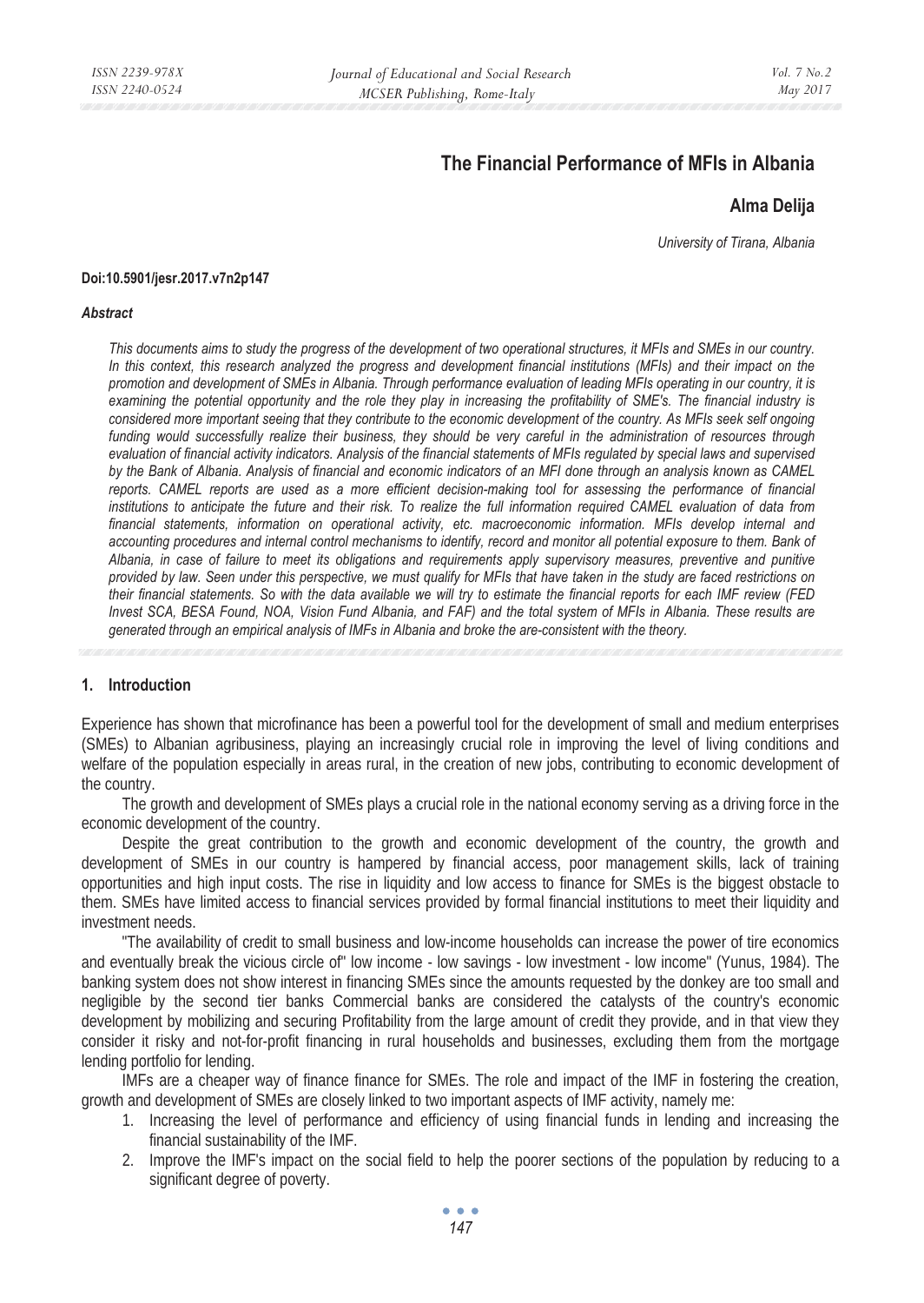# **The Financial Performance of MFIs in Albania**

## **Alma Delija**

*University of Tirana, Albania* 

#### **Doi:10.5901/jesr.2017.v7n2p147**

#### *Abstract*

*This documents aims to study the progress of the development of two operational structures, it MFIs and SMEs in our country.*  In this context, this research analyzed the progress and development financial institutions (MFIs) and their impact on the *promotion and development of SMEs in Albania. Through performance evaluation of leading MFIs operating in our country, it is examining the potential opportunity and the role they play in increasing the profitability of SME's. The financial industry is considered more important seeing that they contribute to the economic development of the country. As MFIs seek self ongoing funding would successfully realize their business, they should be very careful in the administration of resources through evaluation of financial activity indicators. Analysis of the financial statements of MFIs regulated by special laws and supervised by the Bank of Albania. Analysis of financial and economic indicators of an MFI done through an analysis known as CAMEL*  reports. CAMEL reports are used as a more efficient decision-making tool for assessing the performance of financial *institutions to anticipate the future and their risk. To realize the full information required CAMEL evaluation of data from financial statements, information on operational activity, etc. macroeconomic information. MFIs develop internal and accounting procedures and internal control mechanisms to identify, record and monitor all potential exposure to them. Bank of Albania, in case of failure to meet its obligations and requirements apply supervisory measures, preventive and punitive provided by law. Seen under this perspective, we must qualify for MFIs that have taken in the study are faced restrictions on their financial statements. So with the data available we will try to estimate the financial reports for each IMF review (FED Invest SCA, BESA Found, NOA, Vision Fund Albania, and FAF) and the total system of MFIs in Albania. These results are generated through an empirical analysis of IMFs in Albania and broke the are-consistent with the theory.* 

#### **1. Introduction**

Experience has shown that microfinance has been a powerful tool for the development of small and medium enterprises (SMEs) to Albanian agribusiness, playing an increasingly crucial role in improving the level of living conditions and welfare of the population especially in areas rural, in the creation of new jobs, contributing to economic development of the country.

The growth and development of SMEs plays a crucial role in the national economy serving as a driving force in the economic development of the country.

Despite the great contribution to the growth and economic development of the country, the growth and development of SMEs in our country is hampered by financial access, poor management skills, lack of training opportunities and high input costs. The rise in liquidity and low access to finance for SMEs is the biggest obstacle to them. SMEs have limited access to financial services provided by formal financial institutions to meet their liquidity and investment needs.

"The availability of credit to small business and low-income households can increase the power of tire economics and eventually break the vicious circle of" low income - low savings - low investment - low income" (Yunus, 1984). The banking system does not show interest in financing SMEs since the amounts requested by the donkey are too small and negligible by the second tier banks Commercial banks are considered the catalysts of the country's economic development by mobilizing and securing Profitability from the large amount of credit they provide, and in that view they consider it risky and not-for-profit financing in rural households and businesses, excluding them from the mortgage lending portfolio for lending.

IMFs are a cheaper way of finance finance for SMEs. The role and impact of the IMF in fostering the creation, growth and development of SMEs are closely linked to two important aspects of IMF activity, namely me:

- 1. Increasing the level of performance and efficiency of using financial funds in lending and increasing the financial sustainability of the IMF.
- 2. Improve the IMF's impact on the social field to help the poorer sections of the population by reducing to a significant degree of poverty.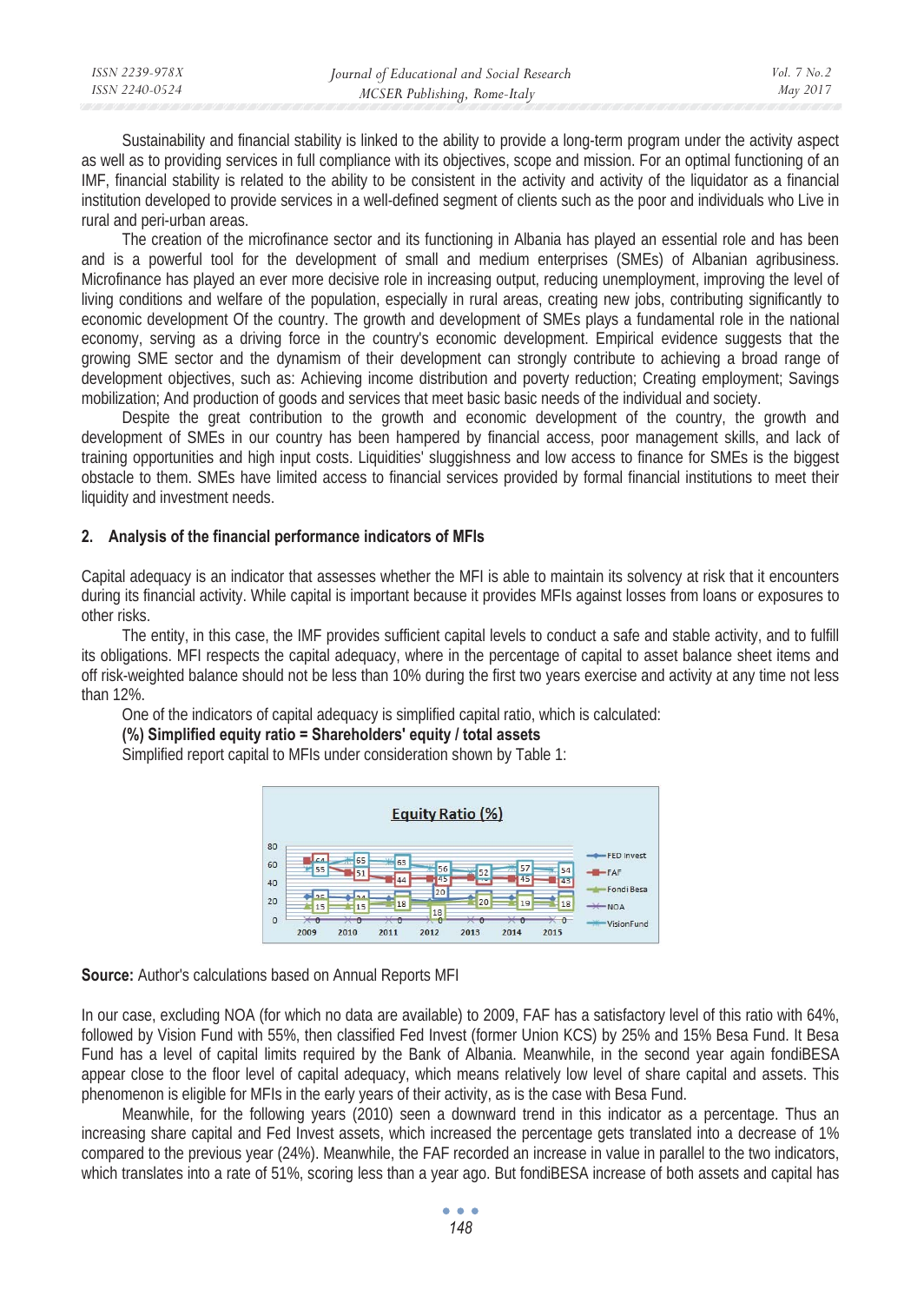| ISSN 2239-978X | Journal of Educational and Social Research | <i>Vol.</i> 7 No. 2 |
|----------------|--------------------------------------------|---------------------|
| ISSN 2240-0524 | MCSER Publishing, Rome-Italy               | May 2017            |
|                |                                            |                     |

Sustainability and financial stability is linked to the ability to provide a long-term program under the activity aspect as well as to providing services in full compliance with its objectives, scope and mission. For an optimal functioning of an IMF, financial stability is related to the ability to be consistent in the activity and activity of the liquidator as a financial institution developed to provide services in a well-defined segment of clients such as the poor and individuals who Live in rural and peri-urban areas.

The creation of the microfinance sector and its functioning in Albania has played an essential role and has been and is a powerful tool for the development of small and medium enterprises (SMEs) of Albanian agribusiness. Microfinance has played an ever more decisive role in increasing output, reducing unemployment, improving the level of living conditions and welfare of the population, especially in rural areas, creating new jobs, contributing significantly to economic development Of the country. The growth and development of SMEs plays a fundamental role in the national economy, serving as a driving force in the country's economic development. Empirical evidence suggests that the growing SME sector and the dynamism of their development can strongly contribute to achieving a broad range of development objectives, such as: Achieving income distribution and poverty reduction; Creating employment; Savings mobilization; And production of goods and services that meet basic basic needs of the individual and society.

Despite the great contribution to the growth and economic development of the country, the growth and development of SMEs in our country has been hampered by financial access, poor management skills, and lack of training opportunities and high input costs. Liquidities' sluggishness and low access to finance for SMEs is the biggest obstacle to them. SMEs have limited access to financial services provided by formal financial institutions to meet their liquidity and investment needs.

#### **2. Analysis of the financial performance indicators of MFIs**

Capital adequacy is an indicator that assesses whether the MFI is able to maintain its solvency at risk that it encounters during its financial activity. While capital is important because it provides MFIs against losses from loans or exposures to other risks.

The entity, in this case, the IMF provides sufficient capital levels to conduct a safe and stable activity, and to fulfill its obligations. MFI respects the capital adequacy, where in the percentage of capital to asset balance sheet items and off risk-weighted balance should not be less than 10% during the first two years exercise and activity at any time not less than 12%.

One of the indicators of capital adequacy is simplified capital ratio, which is calculated:

#### **(%) Simplified equity ratio = Shareholders' equity / total assets**

Simplified report capital to MFIs under consideration shown by Table 1:



**Source:** Author's calculations based on Annual Reports MFI

In our case, excluding NOA (for which no data are available) to 2009, FAF has a satisfactory level of this ratio with 64%, followed by Vision Fund with 55%, then classified Fed Invest (former Union KCS) by 25% and 15% Besa Fund. It Besa Fund has a level of capital limits required by the Bank of Albania. Meanwhile, in the second year again fondiBESA appear close to the floor level of capital adequacy, which means relatively low level of share capital and assets. This phenomenon is eligible for MFIs in the early years of their activity, as is the case with Besa Fund.

Meanwhile, for the following years (2010) seen a downward trend in this indicator as a percentage. Thus an increasing share capital and Fed Invest assets, which increased the percentage gets translated into a decrease of 1% compared to the previous year (24%). Meanwhile, the FAF recorded an increase in value in parallel to the two indicators, which translates into a rate of 51%, scoring less than a year ago. But fondiBESA increase of both assets and capital has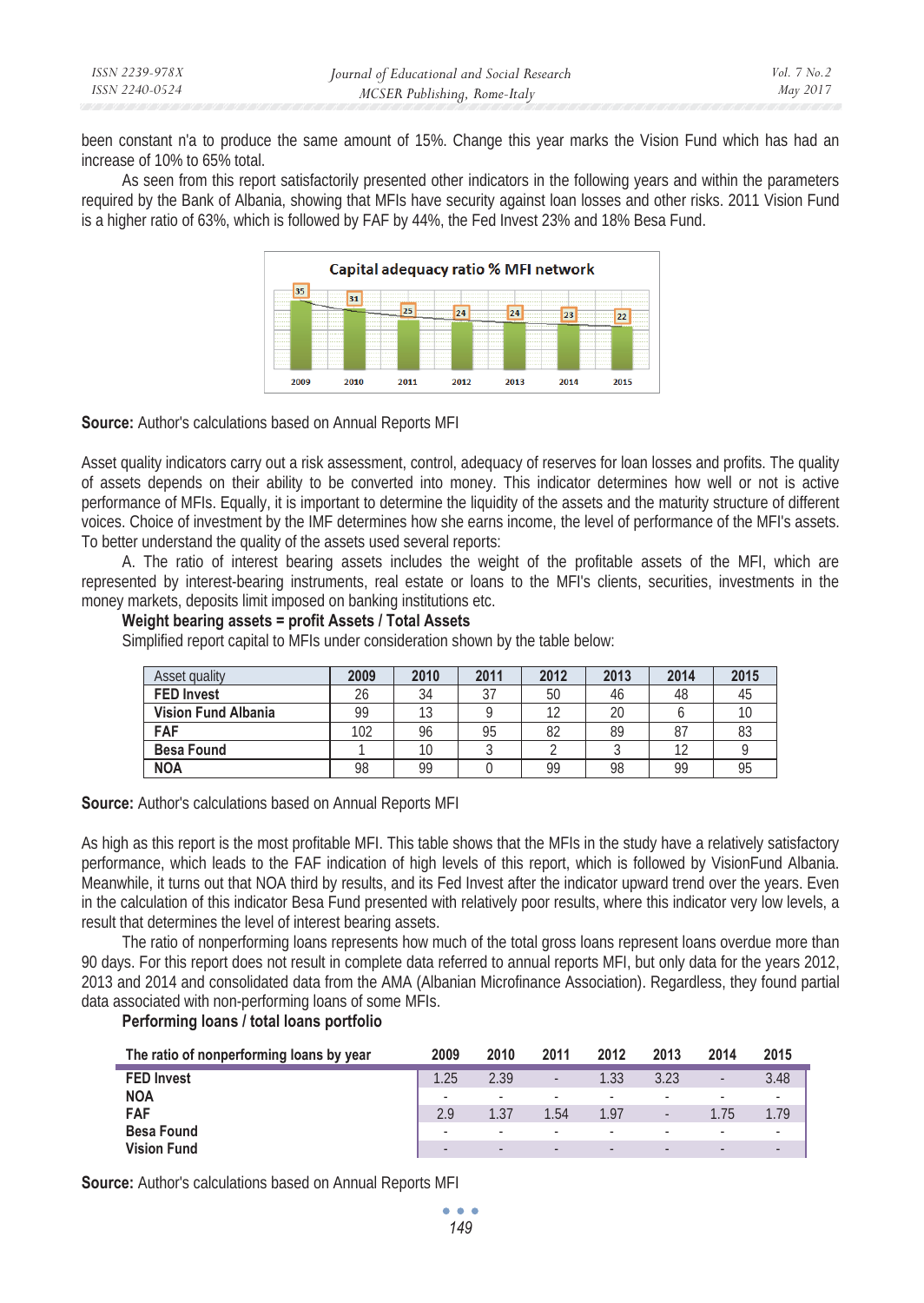been constant n'a to produce the same amount of 15%. Change this year marks the Vision Fund which has had an increase of 10% to 65% total.

As seen from this report satisfactorily presented other indicators in the following years and within the parameters required by the Bank of Albania, showing that MFIs have security against loan losses and other risks. 2011 Vision Fund is a higher ratio of 63%, which is followed by FAF by 44%, the Fed Invest 23% and 18% Besa Fund.



**Source:** Author's calculations based on Annual Reports MFI

Asset quality indicators carry out a risk assessment, control, adequacy of reserves for loan losses and profits. The quality of assets depends on their ability to be converted into money. This indicator determines how well or not is active performance of MFIs. Equally, it is important to determine the liquidity of the assets and the maturity structure of different voices. Choice of investment by the IMF determines how she earns income, the level of performance of the MFI's assets. To better understand the quality of the assets used several reports:

A. The ratio of interest bearing assets includes the weight of the profitable assets of the MFI, which are represented by interest-bearing instruments, real estate or loans to the MFI's clients, securities, investments in the money markets, deposits limit imposed on banking institutions etc.

#### **Weight bearing assets = profit Assets / Total Assets**

Simplified report capital to MFIs under consideration shown by the table below:

| Asset quality       | 2009 | 2010 | 2011 | 2012 | 2013 | 2014 | 2015 |
|---------------------|------|------|------|------|------|------|------|
| <b>FED Invest</b>   | 26   | 34   | ، ب  | 50   | 46   | 48   | 45   |
| Vision Fund Albania | 99   | 12   |      | 12   | 20   |      |      |
| <b>FAF</b>          | 102  | 96   | 95   | 82   | 89   |      | 83   |
| <b>Besa Found</b>   |      | 10   |      |      |      |      |      |
| <b>NOA</b>          | 98   | 99   |      | 99   | 98   | 99   | 95   |

**Source:** Author's calculations based on Annual Reports MFI

As high as this report is the most profitable MFI. This table shows that the MFIs in the study have a relatively satisfactory performance, which leads to the FAF indication of high levels of this report, which is followed by VisionFund Albania. Meanwhile, it turns out that NOA third by results, and its Fed Invest after the indicator upward trend over the years. Even in the calculation of this indicator Besa Fund presented with relatively poor results, where this indicator very low levels, a result that determines the level of interest bearing assets.

The ratio of nonperforming loans represents how much of the total gross loans represent loans overdue more than 90 days. For this report does not result in complete data referred to annual reports MFI, but only data for the years 2012, 2013 and 2014 and consolidated data from the AMA (Albanian Microfinance Association). Regardless, they found partial data associated with non-performing loans of some MFIs.

### **Performing loans / total loans portfolio**

| The ratio of nonperforming loans by year | 2009                     | 2010   | 2011                     | 2012                     | 2013                     | 2014                     | 2015                     |
|------------------------------------------|--------------------------|--------|--------------------------|--------------------------|--------------------------|--------------------------|--------------------------|
| <b>FED Invest</b>                        | .25                      | 2.39   | $\overline{\phantom{a}}$ |                          | 3.23                     | $\overline{\phantom{a}}$ | 3.48                     |
| <b>NOA</b>                               | $\overline{\phantom{a}}$ | -      |                          | $\overline{\phantom{a}}$ | $\overline{\phantom{a}}$ | $\overline{\phantom{a}}$ | -                        |
| <b>FAF</b>                               | 2.9                      | 1.37   | .54                      | 197                      | $\overline{\phantom{a}}$ | l.75                     | - 70                     |
| <b>Besa Found</b>                        | $\overline{\phantom{a}}$ | ٠      | $\overline{\phantom{a}}$ | -                        | $\overline{\phantom{a}}$ | $\overline{\phantom{a}}$ | -                        |
| <b>Vision Fund</b>                       | $\overline{\phantom{a}}$ | $\sim$ | $\sim$                   | $\overline{\phantom{0}}$ |                          |                          | $\overline{\phantom{a}}$ |

**Source:** Author's calculations based on Annual Reports MFI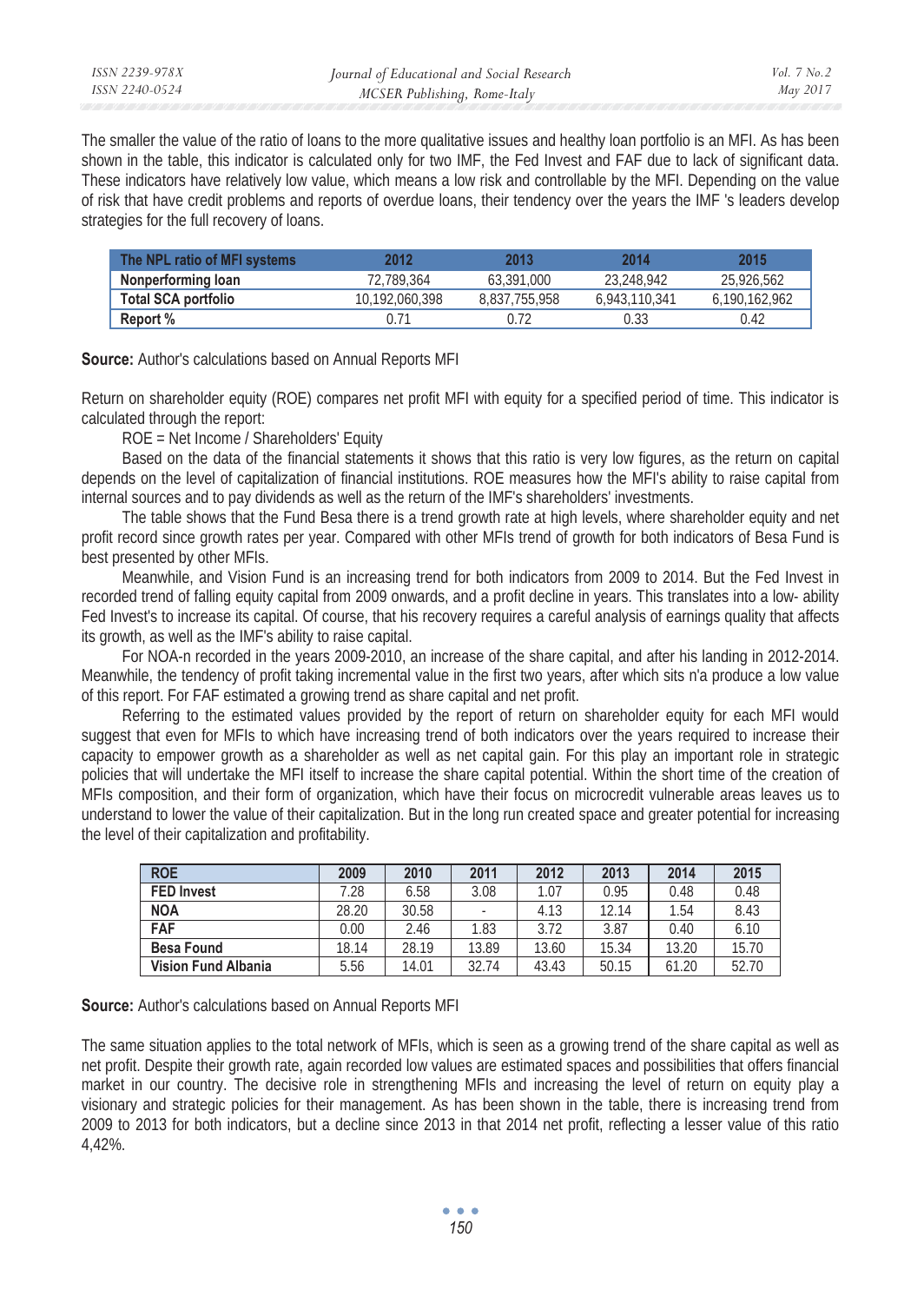The smaller the value of the ratio of loans to the more qualitative issues and healthy loan portfolio is an MFI. As has been shown in the table, this indicator is calculated only for two IMF, the Fed Invest and FAF due to lack of significant data. These indicators have relatively low value, which means a low risk and controllable by the MFI. Depending on the value of risk that have credit problems and reports of overdue loans, their tendency over the years the IMF 's leaders develop strategies for the full recovery of loans.

| The NPL ratio of MFI systems | 2012           | 2013          | 2014          | 2015          |
|------------------------------|----------------|---------------|---------------|---------------|
| Nonperforming loan           | 72.789.364     | 63.391.000    | 23.248.942    | 25.926.562    |
| <b>Total SCA portfolio</b>   | 10.192.060.398 | 8.837.755.958 | 6.943.110.341 | 6.190.162.962 |
| <b>Report</b> %              | በ 71           | 0.72          | 0.33          | በ 42          |

## **Source:** Author's calculations based on Annual Reports MFI

Return on shareholder equity (ROE) compares net profit MFI with equity for a specified period of time. This indicator is calculated through the report:

ROE = Net Income / Shareholders' Equity

Based on the data of the financial statements it shows that this ratio is very low figures, as the return on capital depends on the level of capitalization of financial institutions. ROE measures how the MFI's ability to raise capital from internal sources and to pay dividends as well as the return of the IMF's shareholders' investments.

The table shows that the Fund Besa there is a trend growth rate at high levels, where shareholder equity and net profit record since growth rates per year. Compared with other MFIs trend of growth for both indicators of Besa Fund is best presented by other MFIs.

Meanwhile, and Vision Fund is an increasing trend for both indicators from 2009 to 2014. But the Fed Invest in recorded trend of falling equity capital from 2009 onwards, and a profit decline in years. This translates into a low- ability Fed Invest's to increase its capital. Of course, that his recovery requires a careful analysis of earnings quality that affects its growth, as well as the IMF's ability to raise capital.

For NOA-n recorded in the years 2009-2010, an increase of the share capital, and after his landing in 2012-2014. Meanwhile, the tendency of profit taking incremental value in the first two years, after which sits n'a produce a low value of this report. For FAF estimated a growing trend as share capital and net profit.

Referring to the estimated values provided by the report of return on shareholder equity for each MFI would suggest that even for MFIs to which have increasing trend of both indicators over the years required to increase their capacity to empower growth as a shareholder as well as net capital gain. For this play an important role in strategic policies that will undertake the MFI itself to increase the share capital potential. Within the short time of the creation of MFIs composition, and their form of organization, which have their focus on microcredit vulnerable areas leaves us to understand to lower the value of their capitalization. But in the long run created space and greater potential for increasing the level of their capitalization and profitability.

| <b>ROE</b>          | 2009  | 2010  | 2011  | 2012  | 2013  | 2014  | 2015  |
|---------------------|-------|-------|-------|-------|-------|-------|-------|
| <b>FED Invest</b>   | 7.28  | 6.58  | 3.08  | 1.07  | 0.95  | 0.48  | 0.48  |
| <b>NOA</b>          | 28.20 | 30.58 | ۰     | 4.13  | 12.14 | 1.54  | 8.43  |
| <b>FAF</b>          | 0.00  | 2.46  | 1.83  | 3.72  | 3.87  | 0.40  | 6.10  |
| <b>Besa Found</b>   | 18.14 | 28.19 | 13.89 | 13.60 | 15.34 | 13.20 | 15.70 |
| Vision Fund Albania | 5.56  | 14.01 | 32.74 | 43.43 | 50.15 | 61.20 | 52.70 |

#### **Source:** Author's calculations based on Annual Reports MFI

The same situation applies to the total network of MFIs, which is seen as a growing trend of the share capital as well as net profit. Despite their growth rate, again recorded low values are estimated spaces and possibilities that offers financial market in our country. The decisive role in strengthening MFIs and increasing the level of return on equity play a visionary and strategic policies for their management. As has been shown in the table, there is increasing trend from 2009 to 2013 for both indicators, but a decline since 2013 in that 2014 net profit, reflecting a lesser value of this ratio 4,42%.